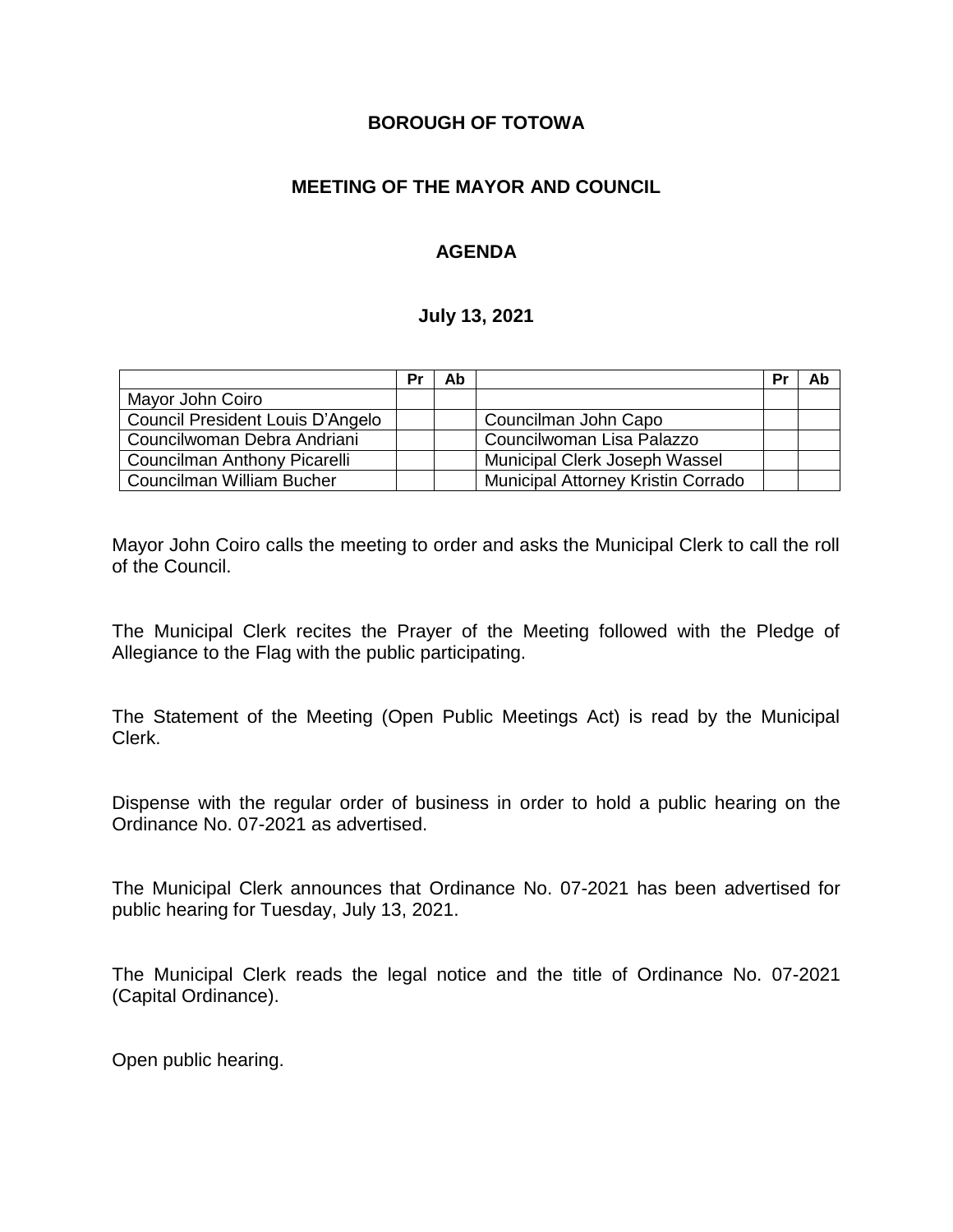## **BOROUGH OF TOTOWA**

# **MEETING OF THE MAYOR AND COUNCIL**

# **AGENDA**

### **July 13, 2021**

|                                  | Pr | Ab |                                    | Pr | Ab |
|----------------------------------|----|----|------------------------------------|----|----|
| Mayor John Coiro                 |    |    |                                    |    |    |
| Council President Louis D'Angelo |    |    | Councilman John Capo               |    |    |
| Councilwoman Debra Andriani      |    |    | Councilwoman Lisa Palazzo          |    |    |
| Councilman Anthony Picarelli     |    |    | Municipal Clerk Joseph Wassel      |    |    |
| Councilman William Bucher        |    |    | Municipal Attorney Kristin Corrado |    |    |

Mayor John Coiro calls the meeting to order and asks the Municipal Clerk to call the roll of the Council.

The Municipal Clerk recites the Prayer of the Meeting followed with the Pledge of Allegiance to the Flag with the public participating.

The Statement of the Meeting (Open Public Meetings Act) is read by the Municipal Clerk.

Dispense with the regular order of business in order to hold a public hearing on the Ordinance No. 07-2021 as advertised.

The Municipal Clerk announces that Ordinance No. 07-2021 has been advertised for public hearing for Tuesday, July 13, 2021.

The Municipal Clerk reads the legal notice and the title of Ordinance No. 07-2021 (Capital Ordinance).

Open public hearing.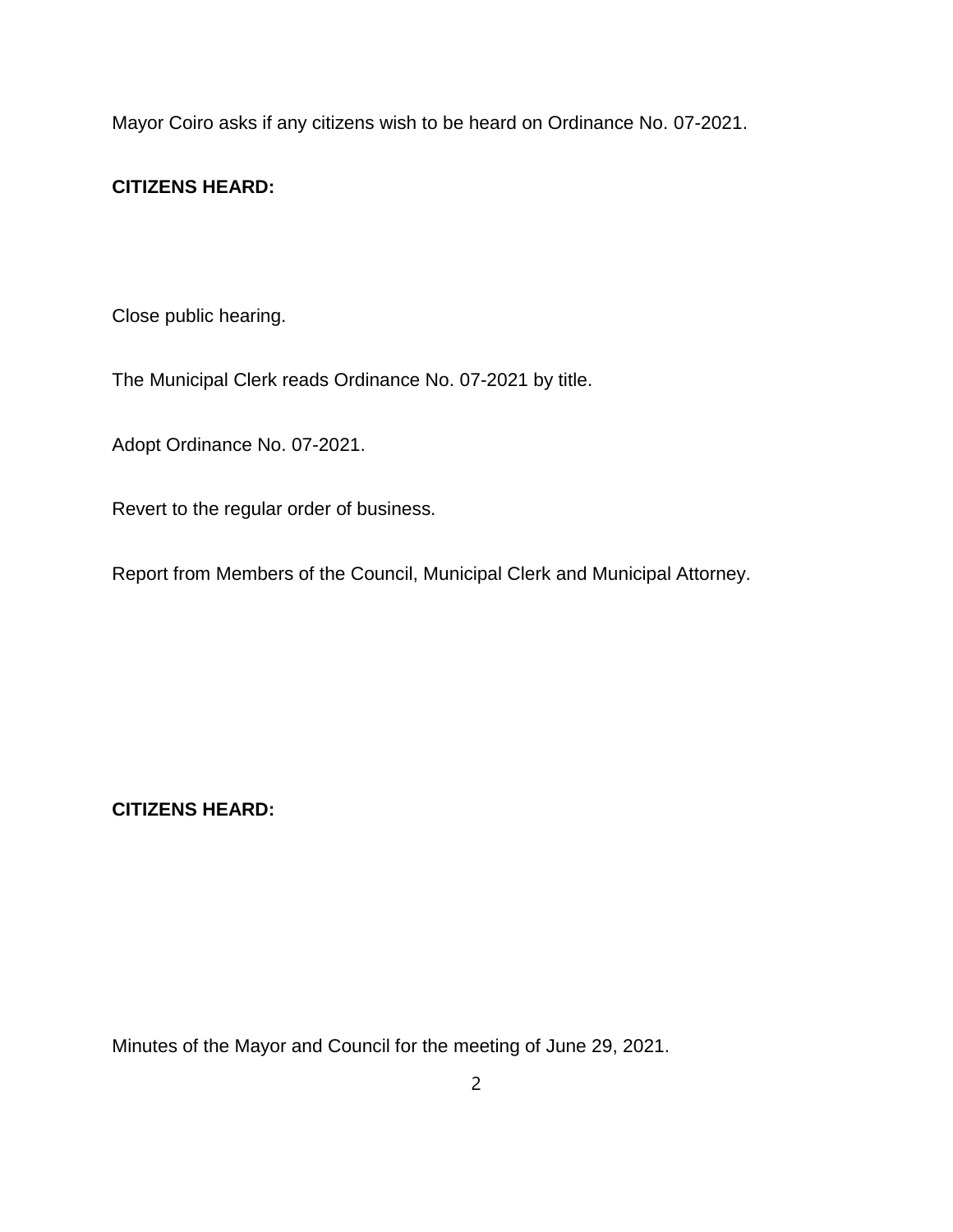Mayor Coiro asks if any citizens wish to be heard on Ordinance No. 07-2021.

## **CITIZENS HEARD:**

Close public hearing.

The Municipal Clerk reads Ordinance No. 07-2021 by title.

Adopt Ordinance No. 07-2021.

Revert to the regular order of business.

Report from Members of the Council, Municipal Clerk and Municipal Attorney.

**CITIZENS HEARD:**

Minutes of the Mayor and Council for the meeting of June 29, 2021.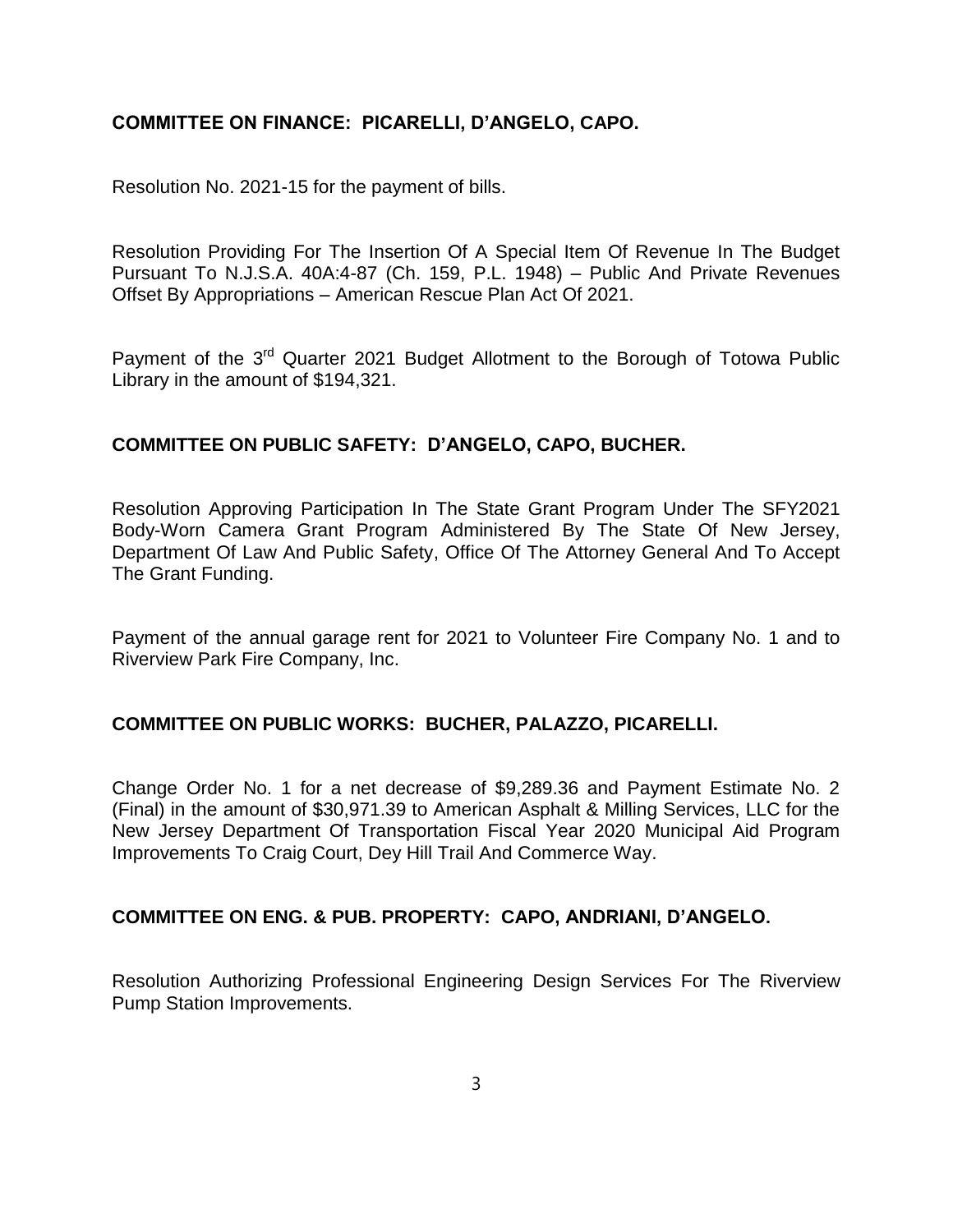## **COMMITTEE ON FINANCE: PICARELLI, D'ANGELO, CAPO.**

Resolution No. 2021-15 for the payment of bills.

Resolution Providing For The Insertion Of A Special Item Of Revenue In The Budget Pursuant To N.J.S.A. 40A:4-87 (Ch. 159, P.L. 1948) – Public And Private Revenues Offset By Appropriations – American Rescue Plan Act Of 2021.

Payment of the 3<sup>rd</sup> Quarter 2021 Budget Allotment to the Borough of Totowa Public Library in the amount of \$194,321.

## **COMMITTEE ON PUBLIC SAFETY: D'ANGELO, CAPO, BUCHER.**

Resolution Approving Participation In The State Grant Program Under The SFY2021 Body-Worn Camera Grant Program Administered By The State Of New Jersey, Department Of Law And Public Safety, Office Of The Attorney General And To Accept The Grant Funding.

Payment of the annual garage rent for 2021 to Volunteer Fire Company No. 1 and to Riverview Park Fire Company, Inc.

### **COMMITTEE ON PUBLIC WORKS: BUCHER, PALAZZO, PICARELLI.**

Change Order No. 1 for a net decrease of \$9,289.36 and Payment Estimate No. 2 (Final) in the amount of \$30,971.39 to American Asphalt & Milling Services, LLC for the New Jersey Department Of Transportation Fiscal Year 2020 Municipal Aid Program Improvements To Craig Court, Dey Hill Trail And Commerce Way.

### **COMMITTEE ON ENG. & PUB. PROPERTY: CAPO, ANDRIANI, D'ANGELO.**

Resolution Authorizing Professional Engineering Design Services For The Riverview Pump Station Improvements.